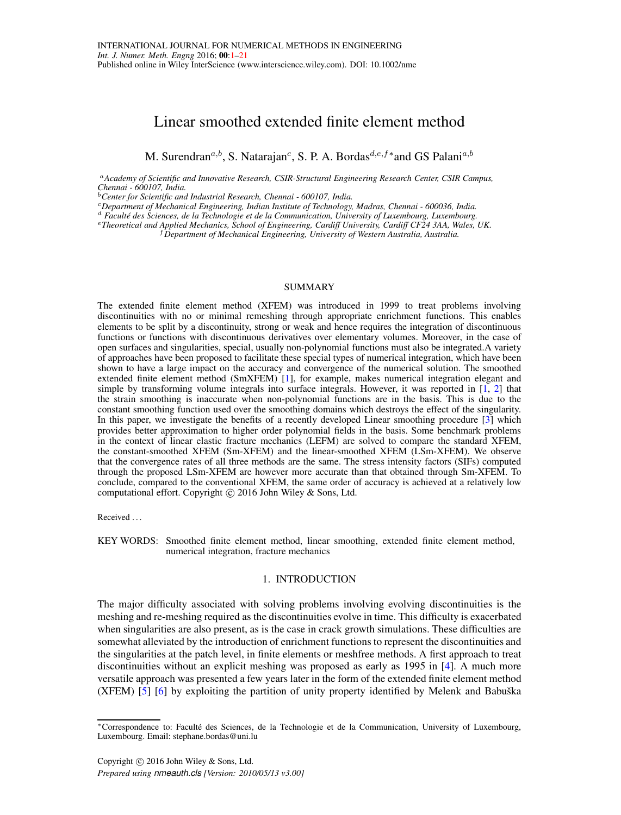# <span id="page-0-0"></span>Linear smoothed extended finite element method

M. Surendran<sup>a,b</sup>, S. Natarajan<sup>c</sup>, S. P. A. Bordas<sup>d,e,f\*</sup> and GS Palani<sup>a,b</sup>

<sup>a</sup>*Academy of Scientific and Innovative Research, CSIR-Structural Engineering Research Center, CSIR Campus, Chennai - 600107, India.*

<sup>b</sup>*Center for Scientific and Industrial Research, Chennai - 600107, India.*

<sup>c</sup>*Department of Mechanical Engineering, Indian Institute of Technology, Madras, Chennai - 600036, India.*

<sup>d</sup> *Facult´e des Sciences, de la Technologie et de la Communication, University of Luxembourg, Luxembourg.*

<sup>e</sup>*Theoretical and Applied Mechanics, School of Engineering, Cardiff University, Cardiff CF24 3AA, Wales, UK.*

<sup>f</sup>*Department of Mechanical Engineering, University of Western Australia, Australia.*

### SUMMARY

The extended finite element method (XFEM) was introduced in 1999 to treat problems involving discontinuities with no or minimal remeshing through appropriate enrichment functions. This enables elements to be split by a discontinuity, strong or weak and hence requires the integration of discontinuous functions or functions with discontinuous derivatives over elementary volumes. Moreover, in the case of open surfaces and singularities, special, usually non-polynomial functions must also be integrated.A variety of approaches have been proposed to facilitate these special types of numerical integration, which have been shown to have a large impact on the accuracy and convergence of the numerical solution. The smoothed extended finite element method (SmXFEM) [\[1\]](#page-18-0), for example, makes numerical integration elegant and simple by transforming volume integrals into surface integrals. However, it was reported in [\[1,](#page-18-0) [2\]](#page-18-1) that the strain smoothing is inaccurate when non-polynomial functions are in the basis. This is due to the constant smoothing function used over the smoothing domains which destroys the effect of the singularity. In this paper, we investigate the benefits of a recently developed Linear smoothing procedure [\[3\]](#page-18-2) which provides better approximation to higher order polynomial fields in the basis. Some benchmark problems in the context of linear elastic fracture mechanics (LEFM) are solved to compare the standard XFEM, the constant-smoothed XFEM (Sm-XFEM) and the linear-smoothed XFEM (LSm-XFEM). We observe that the convergence rates of all three methods are the same. The stress intensity factors (SIFs) computed through the proposed LSm-XFEM are however more accurate than that obtained through Sm-XFEM. To conclude, compared to the conventional XFEM, the same order of accuracy is achieved at a relatively low computational effort. Copyright © 2016 John Wiley & Sons, Ltd.

Received .

KEY WORDS: Smoothed finite element method, linear smoothing, extended finite element method, numerical integration, fracture mechanics

## 1. INTRODUCTION

The major difficulty associated with solving problems involving evolving discontinuities is the meshing and re-meshing required as the discontinuities evolve in time. This difficulty is exacerbated when singularities are also present, as is the case in crack growth simulations. These difficulties are somewhat alleviated by the introduction of enrichment functions to represent the discontinuities and the singularities at the patch level, in finite elements or meshfree methods. A first approach to treat discontinuities without an explicit meshing was proposed as early as 1995 in [\[4\]](#page-18-3). A much more versatile approach was presented a few years later in the form of the extended finite element method  $(XFEM)$  [\[5\]](#page-18-4) [\[6\]](#page-18-5) by exploiting the partition of unity property identified by Melenk and Babuška

<sup>∗</sup>Correspondence to: Facult´e des Sciences, de la Technologie et de la Communication, University of Luxembourg, Luxembourg. Email: stephane.bordas@uni.lu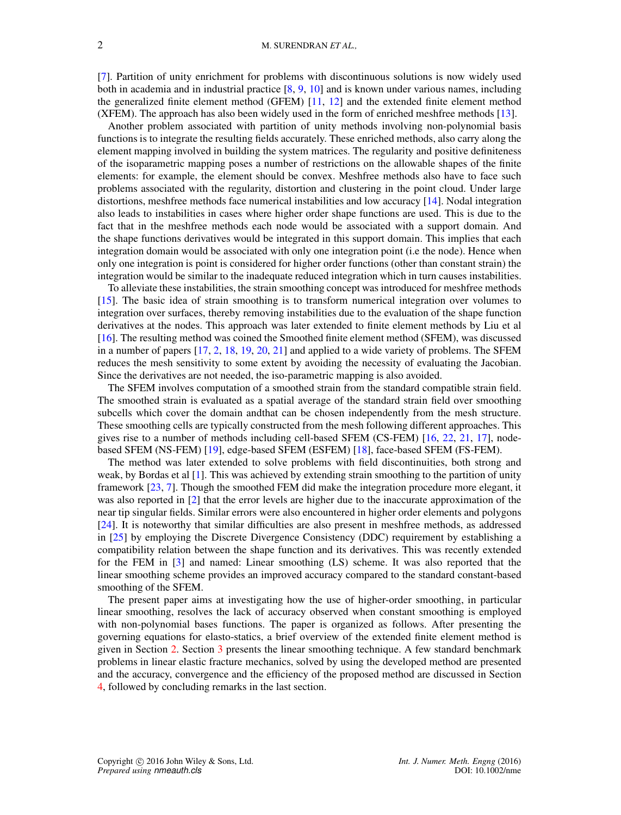[\[7\]](#page-18-6). Partition of unity enrichment for problems with discontinuous solutions is now widely used both in academia and in industrial practice [\[8,](#page-18-7) [9,](#page-18-8) [10\]](#page-18-9) and is known under various names, including the generalized finite element method (GFEM) [\[11,](#page-18-10) [12\]](#page-18-11) and the extended finite element method (XFEM). The approach has also been widely used in the form of enriched meshfree methods [\[13\]](#page-19-0).

Another problem associated with partition of unity methods involving non-polynomial basis functions is to integrate the resulting fields accurately. These enriched methods, also carry along the element mapping involved in building the system matrices. The regularity and positive definiteness of the isoparametric mapping poses a number of restrictions on the allowable shapes of the finite elements: for example, the element should be convex. Meshfree methods also have to face such problems associated with the regularity, distortion and clustering in the point cloud. Under large distortions, meshfree methods face numerical instabilities and low accuracy [\[14\]](#page-19-1). Nodal integration also leads to instabilities in cases where higher order shape functions are used. This is due to the fact that in the meshfree methods each node would be associated with a support domain. And the shape functions derivatives would be integrated in this support domain. This implies that each integration domain would be associated with only one integration point (i.e the node). Hence when only one integration is point is considered for higher order functions (other than constant strain) the integration would be similar to the inadequate reduced integration which in turn causes instabilities.

To alleviate these instabilities, the strain smoothing concept was introduced for meshfree methods [\[15\]](#page-19-2). The basic idea of strain smoothing is to transform numerical integration over volumes to integration over surfaces, thereby removing instabilities due to the evaluation of the shape function derivatives at the nodes. This approach was later extended to finite element methods by Liu et al [\[16\]](#page-19-3). The resulting method was coined the Smoothed finite element method (SFEM), was discussed in a number of papers [\[17,](#page-19-4) [2,](#page-18-1) [18,](#page-19-5) [19,](#page-19-6) [20,](#page-19-7) [21\]](#page-19-8) and applied to a wide variety of problems. The SFEM reduces the mesh sensitivity to some extent by avoiding the necessity of evaluating the Jacobian. Since the derivatives are not needed, the iso-parametric mapping is also avoided.

The SFEM involves computation of a smoothed strain from the standard compatible strain field. The smoothed strain is evaluated as a spatial average of the standard strain field over smoothing subcells which cover the domain andthat can be chosen independently from the mesh structure. These smoothing cells are typically constructed from the mesh following different approaches. This gives rise to a number of methods including cell-based SFEM (CS-FEM) [\[16,](#page-19-3) [22,](#page-19-9) [21,](#page-19-8) [17\]](#page-19-4), nodebased SFEM (NS-FEM) [\[19\]](#page-19-6), edge-based SFEM (ESFEM) [\[18\]](#page-19-5), face-based SFEM (FS-FEM).

The method was later extended to solve problems with field discontinuities, both strong and weak, by Bordas et al [\[1\]](#page-18-0). This was achieved by extending strain smoothing to the partition of unity framework [\[23,](#page-19-10) [7\]](#page-18-6). Though the smoothed FEM did make the integration procedure more elegant, it was also reported in [\[2\]](#page-18-1) that the error levels are higher due to the inaccurate approximation of the near tip singular fields. Similar errors were also encountered in higher order elements and polygons [\[24\]](#page-19-11). It is noteworthy that similar difficulties are also present in meshfree methods, as addressed in [\[25\]](#page-19-12) by employing the Discrete Divergence Consistency (DDC) requirement by establishing a compatibility relation between the shape function and its derivatives. This was recently extended for the FEM in [\[3\]](#page-18-2) and named: Linear smoothing (LS) scheme. It was also reported that the linear smoothing scheme provides an improved accuracy compared to the standard constant-based smoothing of the SFEM.

The present paper aims at investigating how the use of higher-order smoothing, in particular linear smoothing, resolves the lack of accuracy observed when constant smoothing is employed with non-polynomial bases functions. The paper is organized as follows. After presenting the governing equations for elasto-statics, a brief overview of the extended finite element method is given in Section [2.](#page-2-0) Section [3](#page-4-0) presents the linear smoothing technique. A few standard benchmark problems in linear elastic fracture mechanics, solved by using the developed method are presented and the accuracy, convergence and the efficiency of the proposed method are discussed in Section [4,](#page-10-0) followed by concluding remarks in the last section.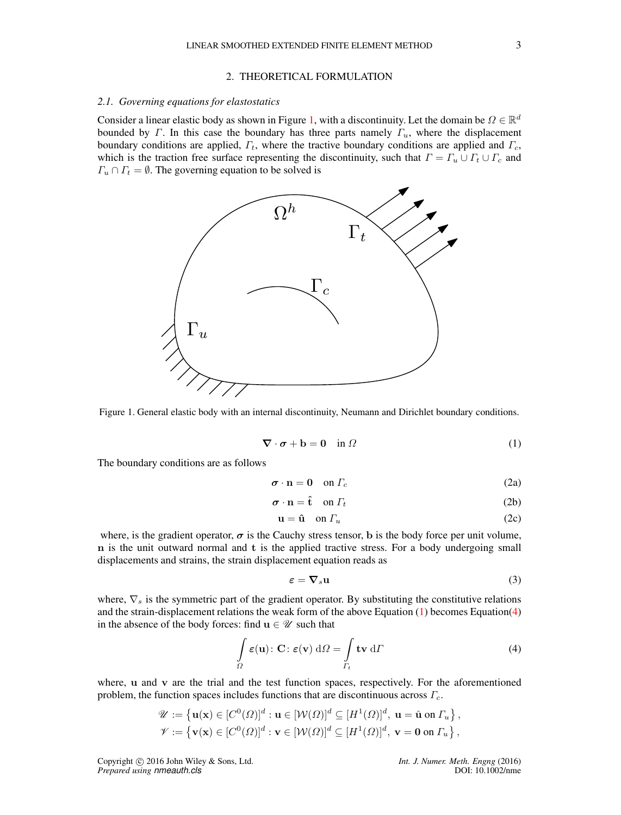# 2. THEORETICAL FORMULATION

### <span id="page-2-0"></span>*2.1. Governing equations for elastostatics*

Consider a linear elastic body as shown in Figure [1,](#page-2-1) with a discontinuity. Let the domain be  $\Omega \in \mathbb{R}^d$ bounded by Γ. In this case the boundary has three parts namely  $\Gamma_u$ , where the displacement boundary conditions are applied,  $\Gamma_t$ , where the tractive boundary conditions are applied and  $\Gamma_c$ , which is the traction free surface representing the discontinuity, such that  $\Gamma = \Gamma_u \cup \Gamma_t \cup \Gamma_c$  and  $\Gamma_u \cap \Gamma_t = \emptyset$ . The governing equation to be solved is

<span id="page-2-1"></span>

Figure 1. General elastic body with an internal discontinuity, Neumann and Dirichlet boundary conditions.

<span id="page-2-2"></span>
$$
\nabla \cdot \boldsymbol{\sigma} + \mathbf{b} = \mathbf{0} \quad \text{in } \Omega \tag{1}
$$

The boundary conditions are as follows

$$
\boldsymbol{\sigma} \cdot \mathbf{n} = \mathbf{0} \quad \text{on } \Gamma_c \tag{2a}
$$

$$
\boldsymbol{\sigma} \cdot \mathbf{n} = \hat{\mathbf{t}} \quad \text{on } \Gamma_t \tag{2b}
$$

$$
\mathbf{u} = \hat{\mathbf{u}} \quad \text{on } \Gamma_u \tag{2c}
$$

where, is the gradient operator,  $\sigma$  is the Cauchy stress tensor, b is the body force per unit volume, n is the unit outward normal and t is the applied tractive stress. For a body undergoing small displacements and strains, the strain displacement equation reads as

$$
\varepsilon = \nabla_s \mathbf{u} \tag{3}
$$

where,  $\nabla_s$  is the symmetric part of the gradient operator. By substituting the constitutive relations and the strain-displacement relations the weak form of the above Equation [\(1\)](#page-2-2) becomes Equation[\(4\)](#page-2-3) in the absence of the body forces: find  $u \in \mathcal{U}$  such that

<span id="page-2-3"></span>
$$
\int_{\Omega} \varepsilon(\mathbf{u}) \colon \mathbf{C} \colon \varepsilon(\mathbf{v}) \, d\Omega = \int_{\Gamma_t} \mathbf{t} \mathbf{v} \, d\Gamma \tag{4}
$$

where, u and v are the trial and the test function spaces, respectively. For the aforementioned problem, the function spaces includes functions that are discontinuous across  $\Gamma_c$ .

$$
\mathscr{U} := \left\{ \mathbf{u}(\mathbf{x}) \in [C^0(\Omega)]^d : \mathbf{u} \in [\mathcal{W}(\Omega)]^d \subseteq [H^1(\Omega)]^d, \mathbf{u} = \hat{\mathbf{u}} \text{ on } \Gamma_u \right\},\
$$
  

$$
\mathscr{V} := \left\{ \mathbf{v}(\mathbf{x}) \in [C^0(\Omega)]^d : \mathbf{v} \in [\mathcal{W}(\Omega)]^d \subseteq [H^1(\Omega)]^d, \mathbf{v} = \mathbf{0} \text{ on } \Gamma_u \right\},\
$$

Copyright c 2016 John Wiley & Sons, Ltd. *Int. J. Numer. Meth. Engng* (2016) *Prepared using nmeauth.cls* DOI: 10.1002/nme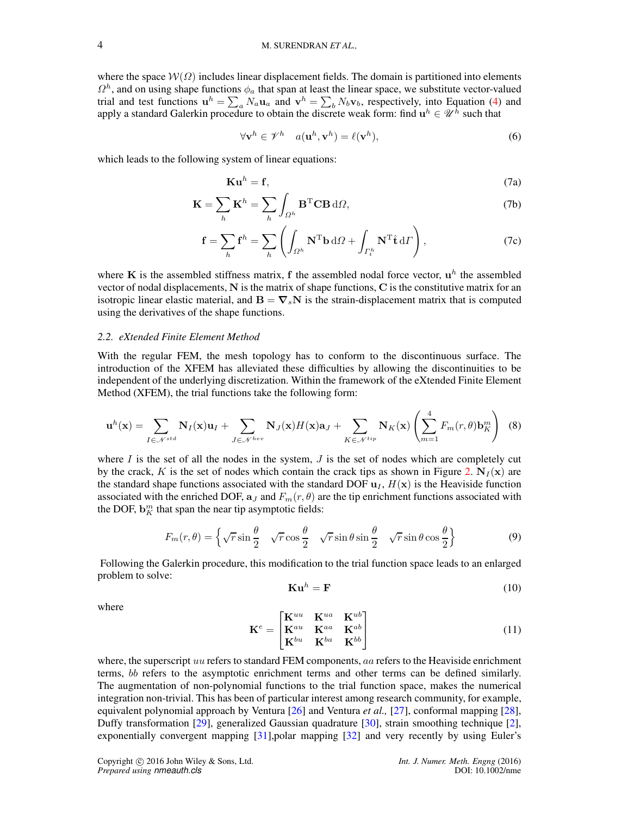where the space  $W(\Omega)$  includes linear displacement fields. The domain is partitioned into elements  $\Omega^h$ , and on using shape functions  $\phi_a$  that span at least the linear space, we substitute vector-valued trial and test functions  $\mathbf{u}^h = \sum_a N_a \mathbf{u}_a$  and  $\mathbf{v}^h = \sum_b N_b \mathbf{v}_b$ , respectively, into Equation [\(4\)](#page-2-3) and apply a standard Galerkin procedure to obtain the discrete weak form: find  $\mathbf{u}^h \in \mathcal{U}^h$  such that

$$
\forall \mathbf{v}^h \in \mathscr{V}^h \quad a(\mathbf{u}^h, \mathbf{v}^h) = \ell(\mathbf{v}^h), \tag{6}
$$

which leads to the following system of linear equations:

$$
\mathbf{Ku}^h = \mathbf{f},\tag{7a}
$$

$$
\mathbf{K} = \sum_{h} \mathbf{K}^{h} = \sum_{h} \int_{\Omega^{h}} \mathbf{B}^{T} \mathbf{C} \mathbf{B} \, d\Omega,
$$
 (7b)

$$
\mathbf{f} = \sum_{h} \mathbf{f}^{h} = \sum_{h} \left( \int_{\Omega^{h}} \mathbf{N}^{T} \mathbf{b} \, d\Omega + \int_{\Gamma_{t}^{h}} \mathbf{N}^{T} \hat{\mathbf{t}} \, d\Gamma \right), \tag{7c}
$$

where K is the assembled stiffness matrix, f the assembled nodal force vector,  $\mathbf{u}^h$  the assembled vector of nodal displacements, N is the matrix of shape functions, C is the constitutive matrix for an isotropic linear elastic material, and  $\mathbf{B} = \nabla_s \mathbf{N}$  is the strain-displacement matrix that is computed using the derivatives of the shape functions.

## *2.2. eXtended Finite Element Method*

With the regular FEM, the mesh topology has to conform to the discontinuous surface. The introduction of the XFEM has alleviated these difficulties by allowing the discontinuities to be independent of the underlying discretization. Within the framework of the eXtended Finite Element Method (XFEM), the trial functions take the following form:

<span id="page-3-0"></span>
$$
\mathbf{u}^{h}(\mathbf{x}) = \sum_{I \in \mathcal{N}^{std}} \mathbf{N}_{I}(\mathbf{x}) \mathbf{u}_{I} + \sum_{J \in \mathcal{N}^{hev}} \mathbf{N}_{J}(\mathbf{x}) H(\mathbf{x}) \mathbf{a}_{J} + \sum_{K \in \mathcal{N}^{tip}} \mathbf{N}_{K}(\mathbf{x}) \left( \sum_{m=1}^{4} F_{m}(r, \theta) \mathbf{b}_{K}^{m} \right) (8)
$$

where  $I$  is the set of all the nodes in the system,  $J$  is the set of nodes which are completely cut by the crack, K is the set of nodes which contain the crack tips as shown in Figure [2.](#page-4-1)  $N_I(x)$  are the standard shape functions associated with the standard DOF  $u_1$ ,  $H(x)$  is the Heaviside function associated with the enriched DOF,  $a_J$  and  $F_m(r, \theta)$  are the tip enrichment functions associated with the DOF,  $\mathbf{b}_{K}^{m}$  that span the near tip asymptotic fields:

$$
F_m(r,\theta) = \left\{ \sqrt{r} \sin \frac{\theta}{2} \quad \sqrt{r} \cos \frac{\theta}{2} \quad \sqrt{r} \sin \theta \sin \frac{\theta}{2} \quad \sqrt{r} \sin \theta \cos \frac{\theta}{2} \right\}
$$
(9)

Following the Galerkin procedure, this modification to the trial function space leads to an enlarged problem to solve:

$$
\mathbf{Ku}^h = \mathbf{F} \tag{10}
$$

where

$$
\mathbf{K}^{e} = \begin{bmatrix} \mathbf{K}^{uu} & \mathbf{K}^{ua} & \mathbf{K}^{ub} \\ \mathbf{K}^{au} & \mathbf{K}^{aa} & \mathbf{K}^{ab} \\ \mathbf{K}^{bu} & \mathbf{K}^{ba} & \mathbf{K}^{bb} \end{bmatrix}
$$
(11)

where, the superscript uu refers to standard FEM components, aa refers to the Heaviside enrichment terms, bb refers to the asymptotic enrichment terms and other terms can be defined similarly. The augmentation of non-polynomial functions to the trial function space, makes the numerical integration non-trivial. This has been of particular interest among research community, for example, equivalent polynomial approach by Ventura [\[26\]](#page-19-13) and Ventura *et al.,* [\[27\]](#page-19-14), conformal mapping [\[28\]](#page-19-15), Duffy transformation [\[29\]](#page-19-16), generalized Gaussian quadrature [\[30\]](#page-19-17), strain smoothing technique [\[2\]](#page-18-1), exponentially convergent mapping [\[31\]](#page-19-18),polar mapping [\[32\]](#page-19-19) and very recently by using Euler's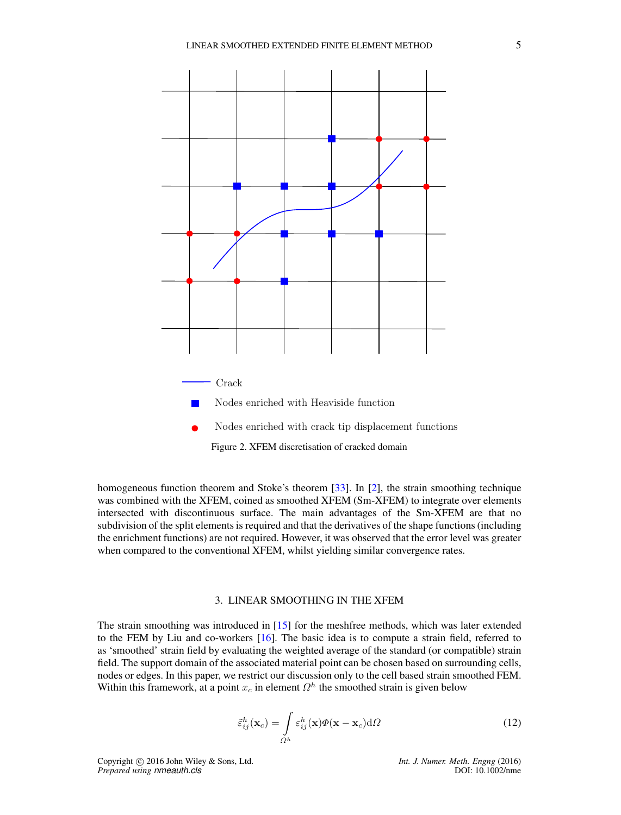<span id="page-4-1"></span>

Figure 2. XFEM discretisation of cracked domain

homogeneous function theorem and Stoke's theorem [\[33\]](#page-19-20). In [\[2\]](#page-18-1), the strain smoothing technique was combined with the XFEM, coined as smoothed XFEM (Sm-XFEM) to integrate over elements intersected with discontinuous surface. The main advantages of the Sm-XFEM are that no subdivision of the split elements is required and that the derivatives of the shape functions (including the enrichment functions) are not required. However, it was observed that the error level was greater when compared to the conventional XFEM, whilst yielding similar convergence rates.

## 3. LINEAR SMOOTHING IN THE XFEM

<span id="page-4-0"></span>The strain smoothing was introduced in [\[15\]](#page-19-2) for the meshfree methods, which was later extended to the FEM by Liu and co-workers [\[16\]](#page-19-3). The basic idea is to compute a strain field, referred to as 'smoothed' strain field by evaluating the weighted average of the standard (or compatible) strain field. The support domain of the associated material point can be chosen based on surrounding cells, nodes or edges. In this paper, we restrict our discussion only to the cell based strain smoothed FEM. Within this framework, at a point  $x_c$  in element  $\Omega^h$  the smoothed strain is given below

$$
\tilde{\varepsilon}_{ij}^h(\mathbf{x}_c) = \int_{\Omega^h} \varepsilon_{ij}^h(\mathbf{x}) \Phi(\mathbf{x} - \mathbf{x}_c) d\Omega \tag{12}
$$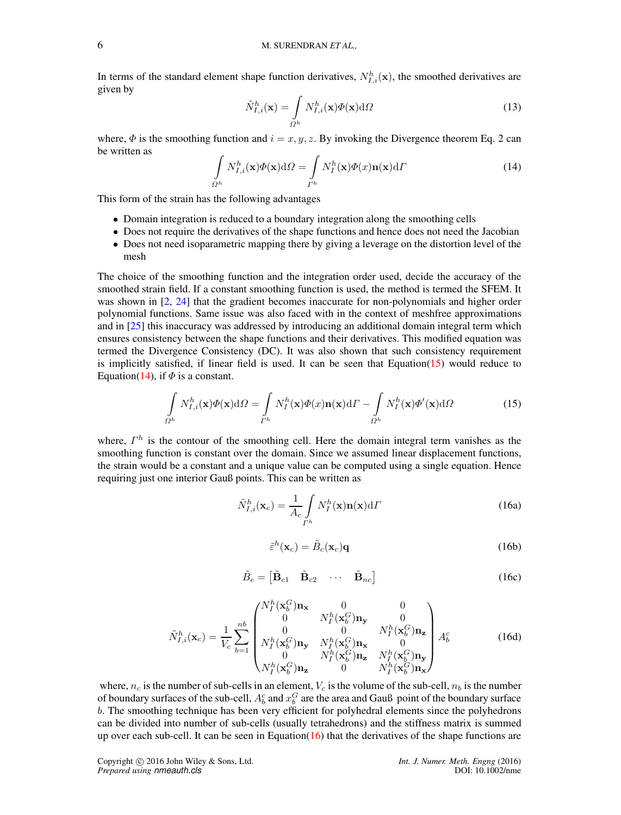In terms of the standard element shape function derivatives,  $N_{I,i}^h(\mathbf{x})$ , the smoothed derivatives are given by

$$
\tilde{N}_{I,i}^{h}(\mathbf{x}) = \int_{\Omega^{h}} N_{I,i}^{h}(\mathbf{x}) \Phi(\mathbf{x}) \mathrm{d}\Omega \tag{13}
$$

where,  $\Phi$  is the smoothing function and  $i = x, y, z$ . By invoking the Divergence theorem Eq. 2 can be written as

<span id="page-5-1"></span>
$$
\int_{\Omega^h} N_{I,i}^h(\mathbf{x}) \Phi(\mathbf{x}) \mathrm{d}\Omega = \int_{\Gamma^h} N_I^h(\mathbf{x}) \Phi(x) \mathbf{n}(\mathbf{x}) \mathrm{d}\Gamma \tag{14}
$$

This form of the strain has the following advantages

- Domain integration is reduced to a boundary integration along the smoothing cells
- Does not require the derivatives of the shape functions and hence does not need the Jacobian
- Does not need isoparametric mapping there by giving a leverage on the distortion level of the mesh

The choice of the smoothing function and the integration order used, decide the accuracy of the smoothed strain field. If a constant smoothing function is used, the method is termed the SFEM. It was shown in [\[2,](#page-18-1) [24\]](#page-19-11) that the gradient becomes inaccurate for non-polynomials and higher order polynomial functions. Same issue was also faced with in the context of meshfree approximations and in [\[25\]](#page-19-12) this inaccuracy was addressed by introducing an additional domain integral term which ensures consistency between the shape functions and their derivatives. This modified equation was termed the Divergence Consistency (DC). It was also shown that such consistency requirement is implicitly satisfied, if linear field is used. It can be seen that Equation[\(15\)](#page-5-0) would reduce to Equation[\(14\)](#page-5-1), if  $\Phi$  is a constant.

<span id="page-5-0"></span>
$$
\int_{\Omega^h} N_{I,i}^h(\mathbf{x}) \Phi(\mathbf{x}) d\Omega = \int_{\Gamma^h} N_I^h(\mathbf{x}) \Phi(x) \mathbf{n}(\mathbf{x}) d\Gamma - \int_{\Omega^h} N_I^h(\mathbf{x}) \Phi'(\mathbf{x}) d\Omega \tag{15}
$$

where,  $\Gamma^h$  is the contour of the smoothing cell. Here the domain integral term vanishes as the smoothing function is constant over the domain. Since we assumed linear displacement functions, the strain would be a constant and a unique value can be computed using a single equation. Hence requiring just one interior Gauß points. This can be written as

$$
\tilde{N}_{I,i}^{h}(\mathbf{x}_c) = \frac{1}{A_c} \int_{\Gamma^h} N_I^h(\mathbf{x}) \mathbf{n}(\mathbf{x}) d\Gamma
$$
\n(16a)

$$
\tilde{\varepsilon}^h(\mathbf{x}_c) = \tilde{B}_c(\mathbf{x}_c)\mathbf{q}
$$
 (16b)

$$
\tilde{B}_c = \begin{bmatrix} \tilde{\mathbf{B}}_{c1} & \tilde{\mathbf{B}}_{c2} & \cdots & \tilde{\mathbf{B}}_{nc} \end{bmatrix}
$$
 (16c)

<span id="page-5-2"></span>
$$
\tilde{N}_{I,i}^{h}(\mathbf{x}_{c}) = \frac{1}{V_{c}} \sum_{b=1}^{nb} \begin{pmatrix} N_{I}^{h}(\mathbf{x}_{b}^{G})\mathbf{n}_{\mathbf{x}} & 0 & 0\\ 0 & N_{I}^{h}(\mathbf{x}_{b}^{G})\mathbf{n}_{\mathbf{y}} & 0\\ 0 & 0 & N_{I}^{h}(\mathbf{x}_{b}^{G})\mathbf{n}_{\mathbf{z}}\\ N_{I}^{h}(\mathbf{x}_{b}^{G})\mathbf{n}_{\mathbf{y}} & N_{I}^{h}(\mathbf{x}_{b}^{G})\mathbf{n}_{\mathbf{x}} & 0\\ 0 & N_{I}^{h}(\mathbf{x}_{b}^{G})\mathbf{n}_{\mathbf{z}} & N_{I}^{h}(\mathbf{x}_{b}^{G})\mathbf{n}_{\mathbf{y}}\\ N_{I}^{h}(\mathbf{x}_{b}^{G})\mathbf{n}_{\mathbf{z}} & 0 & N_{I}^{h}(\mathbf{x}_{b}^{G})\mathbf{n}_{\mathbf{x}} \end{pmatrix} A_{b}^{c}
$$
\n(16d)

where,  $n_c$  is the number of sub-cells in an element,  $V_c$  is the volume of the sub-cell,  $n_b$  is the number of boundary surfaces of the sub-cell,  $A_b^c$  and  $x_b^G$  are the area and Gauß point of the boundary surface b. The smoothing technique has been very efficient for polyhedral elements since the polyhedrons can be divided into number of sub-cells (usually tetrahedrons) and the stiffness matrix is summed up over each sub-cell. It can be seen in Equation $(16)$  that the derivatives of the shape functions are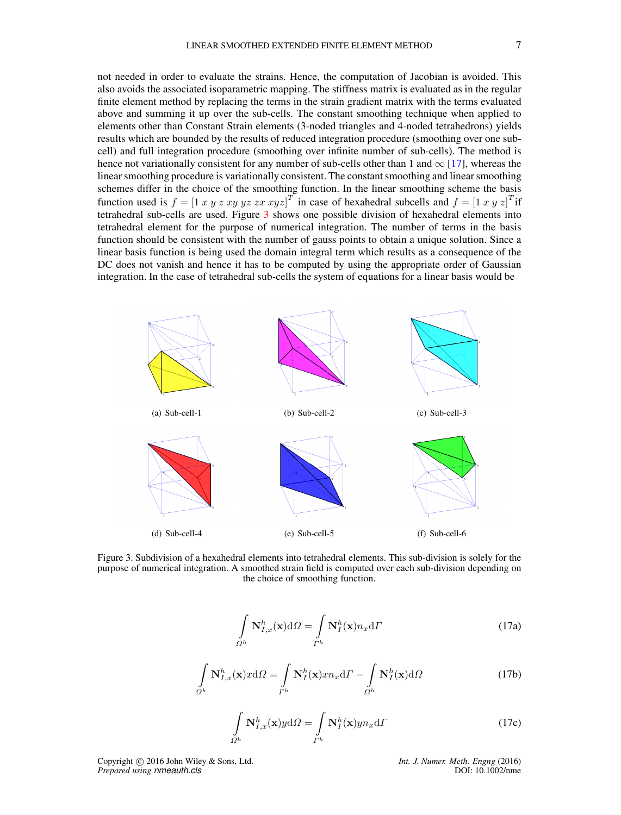not needed in order to evaluate the strains. Hence, the computation of Jacobian is avoided. This also avoids the associated isoparametric mapping. The stiffness matrix is evaluated as in the regular finite element method by replacing the terms in the strain gradient matrix with the terms evaluated above and summing it up over the sub-cells. The constant smoothing technique when applied to elements other than Constant Strain elements (3-noded triangles and 4-noded tetrahedrons) yields results which are bounded by the results of reduced integration procedure (smoothing over one subcell) and full integration procedure (smoothing over infinite number of sub-cells). The method is hence not variationally consistent for any number of sub-cells other than 1 and  $\infty$  [\[17\]](#page-19-4), whereas the linear smoothing procedure is variationally consistent. The constant smoothing and linear smoothing schemes differ in the choice of the smoothing function. In the linear smoothing scheme the basis function used is  $f = [1 \; x \; y \; z \; xy \; yz \; zx \; xyz]^T$  in case of hexahedral subcells and  $f = [1 \; x \; y \; z]^T$ if tetrahedral sub-cells are used. Figure [3](#page-6-0) shows one possible division of hexahedral elements into tetrahedral element for the purpose of numerical integration. The number of terms in the basis function should be consistent with the number of gauss points to obtain a unique solution. Since a linear basis function is being used the domain integral term which results as a consequence of the

<span id="page-6-0"></span>DC does not vanish and hence it has to be computed by using the appropriate order of Gaussian integration. In the case of tetrahedral sub-cells the system of equations for a linear basis would be



Figure 3. Subdivision of a hexahedral elements into tetrahedral elements. This sub-division is solely for the purpose of numerical integration. A smoothed strain field is computed over each sub-division depending on the choice of smoothing function.

$$
\int_{\Omega^h} \mathbf{N}_{I,x}^h(\mathbf{x}) \mathrm{d}\Omega = \int_{\Gamma^h} \mathbf{N}_I^h(\mathbf{x}) n_x \mathrm{d}\Gamma \tag{17a}
$$

$$
\int_{\Omega^h} \mathbf{N}_{I,x}^h(\mathbf{x}) x \mathrm{d}\Omega = \int_{\Gamma^h} \mathbf{N}_I^h(\mathbf{x}) x n_x \mathrm{d}\Gamma - \int_{\Omega^h} \mathbf{N}_I^h(\mathbf{x}) \mathrm{d}\Omega \tag{17b}
$$

$$
\int_{\Omega^h} \mathbf{N}_{I,x}^h(\mathbf{x}) y \, d\Omega = \int_{\Gamma^h} \mathbf{N}_I^h(\mathbf{x}) y n_x \, d\Gamma \tag{17c}
$$

Copyright c 2016 John Wiley & Sons, Ltd. *Int. J. Numer. Meth. Engng* (2016) *Prepared using nmeauth.cls* DOI: 10.1002/nme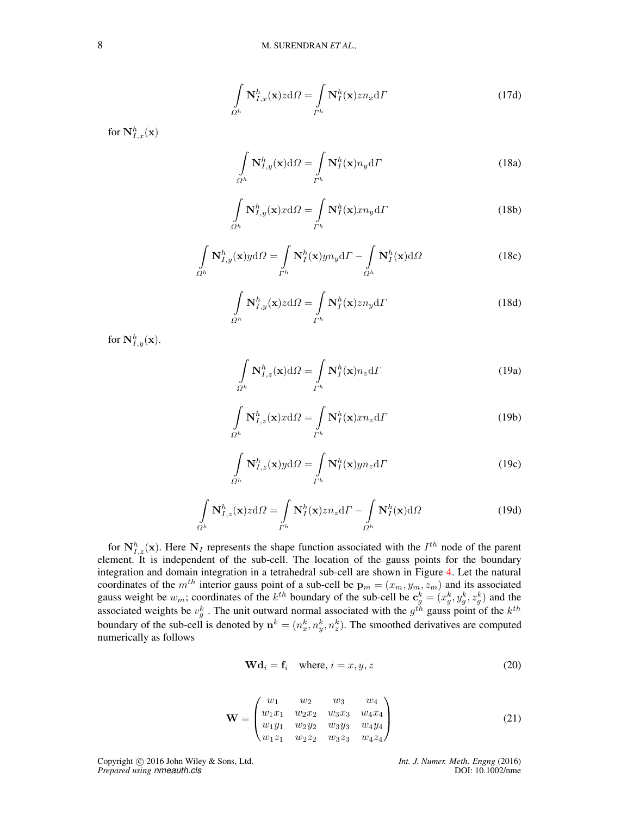$$
\int_{\Omega^h} \mathbf{N}_{I,x}^h(\mathbf{x}) z \, d\Omega = \int_{\Gamma^h} \mathbf{N}_I^h(\mathbf{x}) z n_x \, d\Gamma \tag{17d}
$$

for  $\mathbf{N}_{I,x}^{h}(\mathbf{x})$ 

$$
\int_{\Omega^h} \mathbf{N}_{I,y}^h(\mathbf{x}) d\Omega = \int_{\Gamma^h} \mathbf{N}_I^h(\mathbf{x}) n_y d\Gamma
$$
\n(18a)

$$
\int_{\Omega^h} \mathbf{N}_{I,y}^h(\mathbf{x}) x \mathrm{d}\Omega = \int_{\Gamma^h} \mathbf{N}_I^h(\mathbf{x}) x n_y \mathrm{d}\Gamma \tag{18b}
$$

$$
\int_{\Omega^h} \mathbf{N}_{I,y}^h(\mathbf{x}) y \mathrm{d}\Omega = \int_{I^h} \mathbf{N}_I^h(\mathbf{x}) y n_y \mathrm{d}I - \int_{\Omega^h} \mathbf{N}_I^h(\mathbf{x}) \mathrm{d}\Omega \tag{18c}
$$

$$
\int_{\Omega^h} \mathbf{N}_{I,y}^h(\mathbf{x}) z \, d\Omega = \int_{\Gamma^h} \mathbf{N}_I^h(\mathbf{x}) z n_y \, d\Gamma \tag{18d}
$$

for  $\mathbf{N}_{I,y}^{h}(\mathbf{x})$ .

$$
\int_{\Omega^h} \mathbf{N}_{I,z}^h(\mathbf{x}) d\Omega = \int_{\Gamma^h} \mathbf{N}_I^h(\mathbf{x}) n_z d\Gamma
$$
\n(19a)

$$
\int_{\Omega^h} \mathbf{N}_{I,z}^h(\mathbf{x}) x \mathrm{d}\Omega = \int_{\Gamma^h} \mathbf{N}_I^h(\mathbf{x}) x n_z \mathrm{d}\Gamma \tag{19b}
$$

$$
\int_{\Omega^h} \mathbf{N}_{I,z}^h(\mathbf{x}) y \, d\Omega = \int_{\Gamma^h} \mathbf{N}_I^h(\mathbf{x}) y n_z \, d\Gamma \tag{19c}
$$

$$
\int_{\Omega^h} \mathbf{N}_{I,z}^h(\mathbf{x}) z \mathrm{d}\Omega = \int_{\Gamma^h} \mathbf{N}_I^h(\mathbf{x}) z n_z \mathrm{d}\Gamma - \int_{\Omega^h} \mathbf{N}_I^h(\mathbf{x}) \mathrm{d}\Omega \tag{19d}
$$

for  $N_{I,z}^h(\mathbf{x})$ . Here  $N_I$  represents the shape function associated with the  $I^{th}$  node of the parent element. It is independent of the sub-cell. The location of the gauss points for the boundary integration and domain integration in a tetrahedral sub-cell are shown in Figure [4.](#page-8-0) Let the natural coordinates of the  $m^{th}$  interior gauss point of a sub-cell be  $\mathbf{p}_m = (x_m, y_m, z_m)$  and its associated gauss weight be  $w_m$ ; coordinates of the  $k^{th}$  boundary of the sub-cell be  $c_g^k = (x_g^k, y_g^k, z_g^k)$  and the associated weights be  $v_g^k$ . The unit outward normal associated with the  $g^{th}$  gauss point of the  $k^{th}$ boundary of the sub-cell is denoted by  $\mathbf{n}^k = (n_x^k, n_y^k, n_z^k)$ . The smoothed derivatives are computed numerically as follows

$$
\mathbf{Wd}_i = \mathbf{f}_i \quad \text{where, } i = x, y, z \tag{20}
$$

$$
\mathbf{W} = \begin{pmatrix} w_1 & w_2 & w_3 & w_4 \\ w_1x_1 & w_2x_2 & w_3x_3 & w_4x_4 \\ w_1y_1 & w_2y_2 & w_3y_3 & w_4y_4 \\ w_1z_1 & w_2z_2 & w_3z_3 & w_4z_4 \end{pmatrix}
$$
 (21)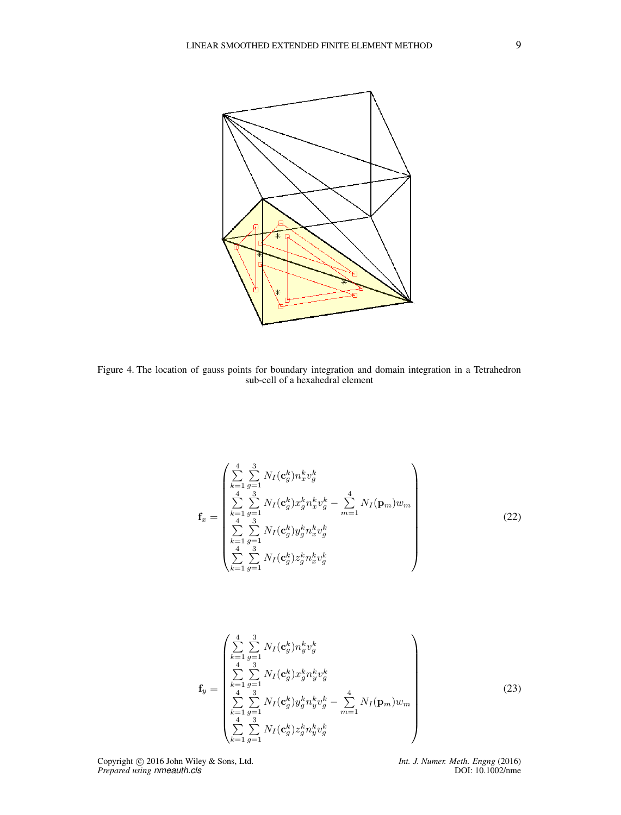<span id="page-8-0"></span>

Figure 4. The location of gauss points for boundary integration and domain integration in a Tetrahedron sub-cell of a hexahedral element

$$
\mathbf{f}_{x} = \begin{pmatrix} \sum_{k=1}^{4} \sum_{g=1}^{3} N_{I}(\mathbf{c}_{g}^{k}) n_{x}^{k} v_{g}^{k} \\ \sum_{k=1}^{4} \sum_{g=1}^{3} N_{I}(\mathbf{c}_{g}^{k}) x_{g}^{k} n_{x}^{k} v_{g}^{k} - \sum_{m=1}^{4} N_{I}(\mathbf{p}_{m}) w_{m} \\ \sum_{k=1}^{4} \sum_{g=1}^{3} N_{I}(\mathbf{c}_{g}^{k}) y_{g}^{k} n_{x}^{k} v_{g}^{k} \\ \sum_{k=1}^{4} \sum_{g=1}^{3} N_{I}(\mathbf{c}_{g}^{k}) z_{g}^{k} n_{x}^{k} v_{g}^{k} \end{pmatrix}
$$
(22)

$$
\mathbf{f}_{y} = \begin{pmatrix} \sum_{k=1}^{4} \sum_{g=1}^{3} N_{I}(\mathbf{c}_{g}^{k}) n_{y}^{k} v_{g}^{k} \\ \sum_{4}^{4} \sum_{g=1}^{3} N_{I}(\mathbf{c}_{g}^{k}) x_{g}^{k} n_{y}^{k} v_{g}^{k} \\ \sum_{k=1}^{4} \sum_{g=1}^{3} N_{I}(\mathbf{c}_{g}^{k}) y_{g}^{k} n_{y}^{k} v_{g}^{k} - \sum_{m=1}^{4} N_{I}(\mathbf{p}_{m}) w_{m} \\ \sum_{k=1}^{4} \sum_{g=1}^{3} N_{I}(\mathbf{c}_{g}^{k}) z_{g}^{k} n_{y}^{k} v_{g}^{k} \end{pmatrix}
$$
(23)

Copyright © 2016 John Wiley & Sons, Ltd. *Int. J. Numer. Meth. Engng* (2016)<br>*Prepared using nmeauth.cls DOI: 10.1002/nme*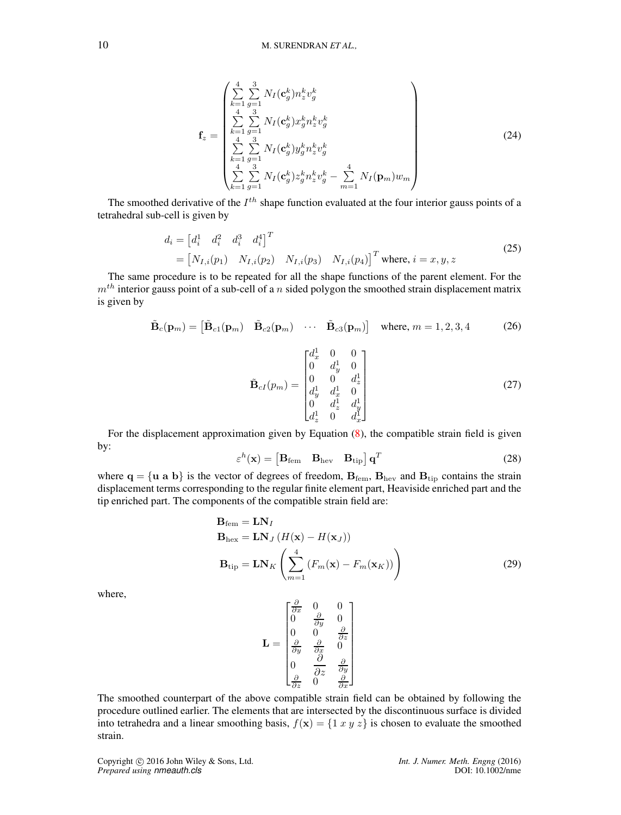$$
\mathbf{f}_{z} = \begin{pmatrix} \sum_{k=1}^{4} \sum_{g=1}^{3} N_{I}(\mathbf{c}_{g}^{k}) n_{z}^{k} v_{g}^{k} \\ \sum_{4}^{4} \sum_{g=1}^{3} N_{I}(\mathbf{c}_{g}^{k}) x_{g}^{k} n_{z}^{k} v_{g}^{k} \\ \sum_{k=1}^{4} \sum_{g=1}^{3} N_{I}(\mathbf{c}_{g}^{k}) y_{g}^{k} n_{z}^{k} v_{g}^{k} \\ \sum_{k=1}^{4} \sum_{g=1}^{3} N_{I}(\mathbf{c}_{g}^{k}) z_{g}^{k} n_{z}^{k} v_{g}^{k} - \sum_{m=1}^{4} N_{I}(\mathbf{p}_{m}) w_{m} \end{pmatrix}
$$
(24)

The smoothed derivative of the  $I^{th}$  shape function evaluated at the four interior gauss points of a tetrahedral sub-cell is given by

$$
d_i = \begin{bmatrix} d_i^1 & d_i^2 & d_i^3 & d_i^4 \end{bmatrix}^T
$$
  
=  $\begin{bmatrix} N_{I,i}(p_1) & N_{I,i}(p_2) & N_{I,i}(p_3) & N_{I,i}(p_4) \end{bmatrix}^T$  where,  $i = x, y, z$  (25)

The same procedure is to be repeated for all the shape functions of the parent element. For the  $m<sup>th</sup>$  interior gauss point of a sub-cell of a n sided polygon the smoothed strain displacement matrix is given by

$$
\tilde{\mathbf{B}}_c(\mathbf{p}_m) = \begin{bmatrix} \tilde{\mathbf{B}}_{c1}(\mathbf{p}_m) & \tilde{\mathbf{B}}_{c2}(\mathbf{p}_m) & \cdots & \tilde{\mathbf{B}}_{c3}(\mathbf{p}_m) \end{bmatrix} \text{ where } m = 1, 2, 3, 4 \quad (26)
$$

$$
\tilde{\mathbf{B}}_{cI}(p_m) = \begin{bmatrix} d_x^1 & 0 & 0 \\ 0 & d_y^1 & 0 \\ 0 & 0 & d_z^1 \\ d_y^1 & d_x^1 & 0 \\ 0 & d_z^1 & d_y^1 \\ d_z^1 & 0 & d_x^1 \end{bmatrix}
$$
 (27)

For the displacement approximation given by Equation [\(8\)](#page-3-0), the compatible strain field is given by:

$$
\varepsilon^{h}(\mathbf{x}) = \begin{bmatrix} \mathbf{B}_{\text{fem}} & \mathbf{B}_{\text{hev}} & \mathbf{B}_{\text{tip}} \end{bmatrix} \mathbf{q}^{T}
$$
 (28)

where  $q = {u \ a \ b}$  is the vector of degrees of freedom,  $B_{\text{fem}}$ ,  $B_{\text{hev}}$  and  $B_{\text{tip}}$  contains the strain displacement terms corresponding to the regular finite element part, Heaviside enriched part and the tip enriched part. The components of the compatible strain field are:

$$
\mathbf{B}_{\text{fem}} = \mathbf{LN}_I
$$
  
\n
$$
\mathbf{B}_{\text{hex}} = \mathbf{LN}_J (H(\mathbf{x}) - H(\mathbf{x}_J))
$$
  
\n
$$
\mathbf{B}_{\text{tip}} = \mathbf{LN}_K \left( \sum_{m=1}^4 (F_m(\mathbf{x}) - F_m(\mathbf{x}_K)) \right)
$$
\n(29)

where,

$$
\mathbf{L} = \begin{bmatrix} \frac{\partial}{\partial x} & 0 & 0\\ 0 & \frac{\partial}{\partial y} & 0\\ 0 & 0 & \frac{\partial}{\partial z}\\ \frac{\partial}{\partial y} & \frac{\partial}{\partial x} & 0\\ 0 & \frac{\partial}{\partial z} & \frac{\partial}{\partial y}\\ \frac{\partial}{\partial z} & 0 & \frac{\partial}{\partial x} \end{bmatrix}
$$

The smoothed counterpart of the above compatible strain field can be obtained by following the procedure outlined earlier. The elements that are intersected by the discontinuous surface is divided into tetrahedra and a linear smoothing basis,  $f(\mathbf{x}) = \{1 \ x \ y \ z\}$  is chosen to evaluate the smoothed strain.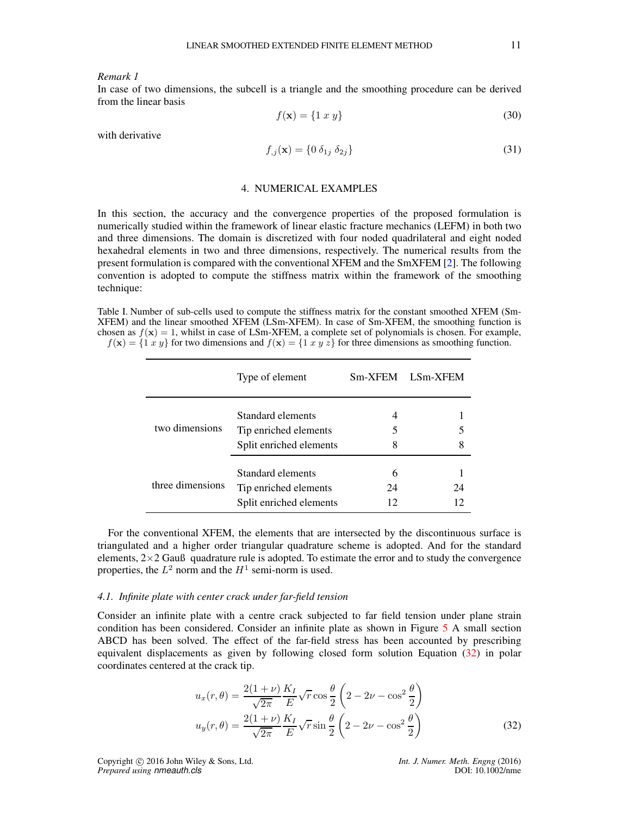*Remark 1*

In case of two dimensions, the subcell is a triangle and the smoothing procedure can be derived from the linear basis

$$
f(\mathbf{x}) = \{1 \ x \ y\} \tag{30}
$$

with derivative

$$
f_{,j}(\mathbf{x}) = \{0 \,\delta_{1j} \,\delta_{2j}\}\tag{31}
$$

## 4. NUMERICAL EXAMPLES

<span id="page-10-0"></span>In this section, the accuracy and the convergence properties of the proposed formulation is numerically studied within the framework of linear elastic fracture mechanics (LEFM) in both two and three dimensions. The domain is discretized with four noded quadrilateral and eight noded hexahedral elements in two and three dimensions, respectively. The numerical results from the present formulation is compared with the conventional XFEM and the SmXFEM [\[2\]](#page-18-1). The following convention is adopted to compute the stiffness matrix within the framework of the smoothing technique:

Table I. Number of sub-cells used to compute the stiffness matrix for the constant smoothed XFEM (Sm-XFEM) and the linear smoothed XFEM (LSm-XFEM). In case of Sm-XFEM, the smoothing function is chosen as  $f(x) = 1$ , whilst in case of LSm-XFEM, a complete set of polynomials is chosen. For example,  $f(\mathbf{x}) = \{1 \ x \ y\}$  for two dimensions and  $f(\mathbf{x}) = \{1 \ x \ y \ z\}$  for three dimensions as smoothing function.

|                  | Type of element                                                       | Sm-XFEM       | LSm-XFEM |
|------------------|-----------------------------------------------------------------------|---------------|----------|
| two dimensions   | Standard elements<br>Tip enriched elements<br>Split enriched elements | 4<br>8        | 5<br>8   |
| three dimensions | Standard elements<br>Tip enriched elements<br>Split enriched elements | 6<br>24<br>12 | 24<br>12 |

For the conventional XFEM, the elements that are intersected by the discontinuous surface is triangulated and a higher order triangular quadrature scheme is adopted. And for the standard elements,  $2\times2$  Gauß quadrature rule is adopted. To estimate the error and to study the convergence properties, the  $L^2$  norm and the  $H^1$  semi-norm is used.

## *4.1. Infinite plate with center crack under far-field tension*

Consider an infinite plate with a centre crack subjected to far field tension under plane strain condition has been considered. Consider an infinite plate as shown in Figure [5](#page-11-0) A small section ABCD has been solved. The effect of the far-field stress has been accounted by prescribing equivalent displacements as given by following closed form solution Equation [\(32\)](#page-10-1) in polar coordinates centered at the crack tip.

$$
u_x(r,\theta) = \frac{2(1+\nu)}{\sqrt{2\pi}} \frac{K_I}{E} \sqrt{r} \cos\frac{\theta}{2} \left(2 - 2\nu - \cos^2\frac{\theta}{2}\right)
$$
  

$$
u_y(r,\theta) = \frac{2(1+\nu)}{\sqrt{2\pi}} \frac{K_I}{E} \sqrt{r} \sin\frac{\theta}{2} \left(2 - 2\nu - \cos^2\frac{\theta}{2}\right)
$$
 (32)

Copyright c 2016 John Wiley & Sons, Ltd. *Int. J. Numer. Meth. Engng* (2016) *Prepared using nmeauth.cls* DOI: 10.1002/nme

<span id="page-10-1"></span>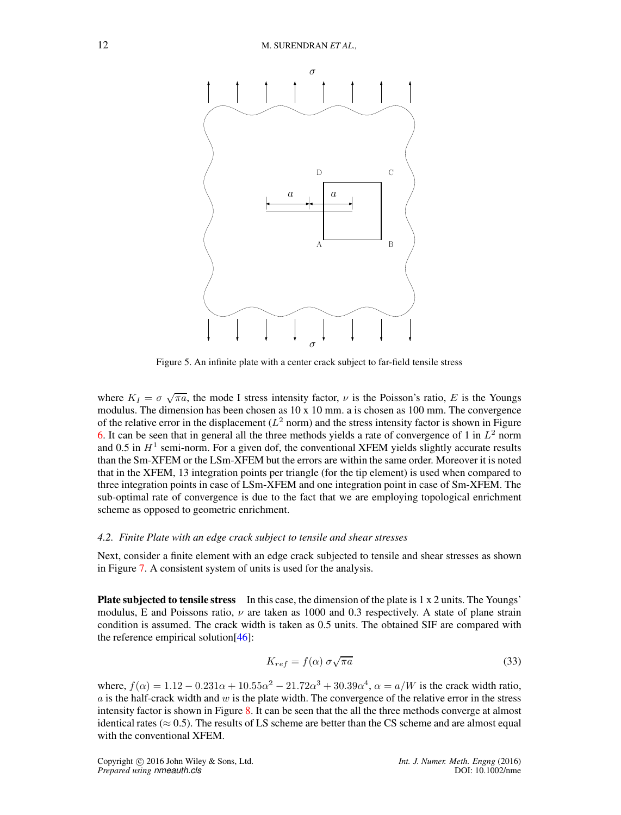<span id="page-11-0"></span>

Figure 5. An infinite plate with a center crack subject to far-field tensile stress

where  $K_I = \sigma \sqrt{\pi a}$ , the mode I stress intensity factor,  $\nu$  is the Poisson's ratio, E is the Youngs modulus. The dimension has been chosen as  $10 \times 10$  mm. a is chosen as  $100$  mm. The convergence of the relative error in the displacement  $(L^2$  norm) and the stress intensity factor is shown in Figure [6.](#page-12-0) It can be seen that in general all the three methods yields a rate of convergence of 1 in  $L^2$  norm and 0.5 in  $H<sup>1</sup>$  semi-norm. For a given dof, the conventional XFEM yields slightly accurate results than the Sm-XFEM or the LSm-XFEM but the errors are within the same order. Moreover it is noted that in the XFEM, 13 integration points per triangle (for the tip element) is used when compared to three integration points in case of LSm-XFEM and one integration point in case of Sm-XFEM. The sub-optimal rate of convergence is due to the fact that we are employing topological enrichment scheme as opposed to geometric enrichment.

## *4.2. Finite Plate with an edge crack subject to tensile and shear stresses*

Next, consider a finite element with an edge crack subjected to tensile and shear stresses as shown in Figure [7.](#page-13-0) A consistent system of units is used for the analysis.

**Plate subjected to tensile stress** In this case, the dimension of the plate is  $1 \times 2$  units. The Youngs' modulus, E and Poissons ratio,  $\nu$  are taken as 1000 and 0.3 respectively. A state of plane strain condition is assumed. The crack width is taken as 0.5 units. The obtained SIF are compared with the reference empirical solution[\[46\]](#page-19-21):

$$
K_{ref} = f(\alpha) \sigma \sqrt{\pi a} \tag{33}
$$

where,  $f(\alpha) = 1.12 - 0.231\alpha + 10.55\alpha^2 - 21.72\alpha^3 + 30.39\alpha^4$ ,  $\alpha = a/W$  is the crack width ratio,  $\alpha$  is the half-crack width and  $w$  is the plate width. The convergence of the relative error in the stress intensity factor is shown in Figure [8.](#page-14-0) It can be seen that the all the three methods converge at almost identical rates ( $\approx 0.5$ ). The results of LS scheme are better than the CS scheme and are almost equal with the conventional XFEM.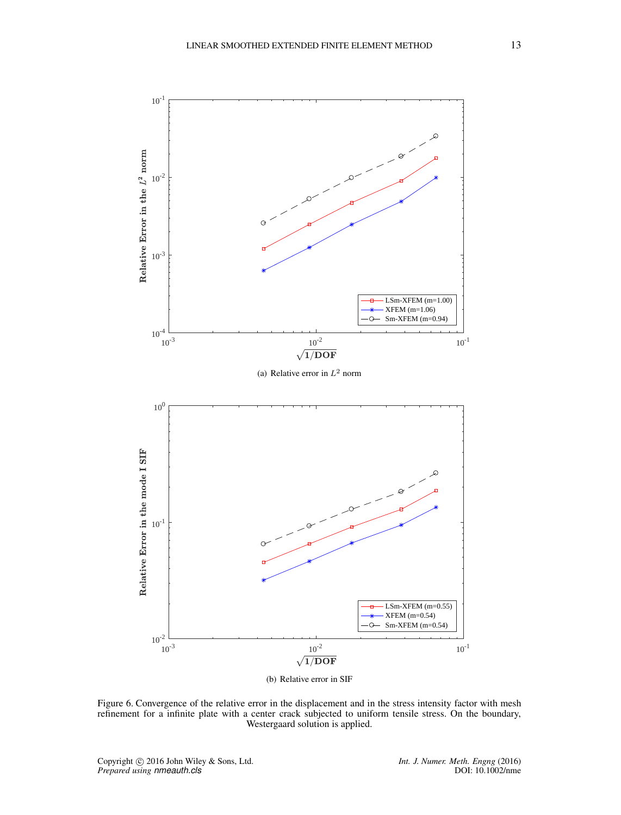<span id="page-12-0"></span>

Figure 6. Convergence of the relative error in the displacement and in the stress intensity factor with mesh refinement for a infinite plate with a center crack subjected to uniform tensile stress. On the boundary, Westergaard solution is applied.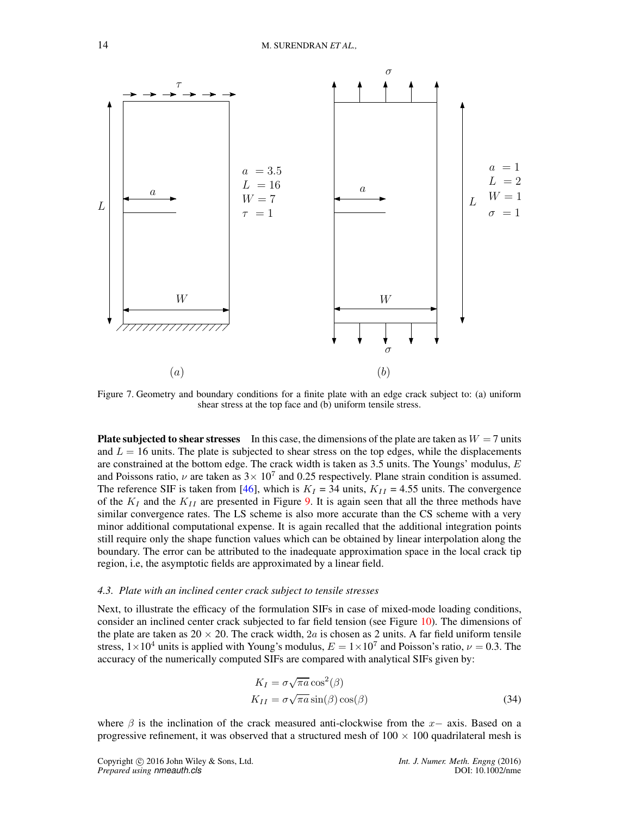<span id="page-13-0"></span>

Figure 7. Geometry and boundary conditions for a finite plate with an edge crack subject to: (a) uniform shear stress at the top face and (b) uniform tensile stress.

**Plate subjected to shear stresses** In this case, the dimensions of the plate are taken as  $W = 7$  units and  $L = 16$  units. The plate is subjected to shear stress on the top edges, while the displacements are constrained at the bottom edge. The crack width is taken as  $3.5$  units. The Youngs' modulus,  $E$ and Poissons ratio,  $\nu$  are taken as  $3 \times 10^7$  and 0.25 respectively. Plane strain condition is assumed. The reference SIF is taken from [\[46\]](#page-19-21), which is  $K_I = 34$  units,  $K_{II} = 4.55$  units. The convergence of the  $K_I$  and the  $K_{II}$  are presented in Figure [9.](#page-15-0) It is again seen that all the three methods have similar convergence rates. The LS scheme is also more accurate than the CS scheme with a very minor additional computational expense. It is again recalled that the additional integration points still require only the shape function values which can be obtained by linear interpolation along the boundary. The error can be attributed to the inadequate approximation space in the local crack tip region, i.e, the asymptotic fields are approximated by a linear field.

## *4.3. Plate with an inclined center crack subject to tensile stresses*

Next, to illustrate the efficacy of the formulation SIFs in case of mixed-mode loading conditions, consider an inclined center crack subjected to far field tension (see Figure [10\)](#page-16-1). The dimensions of the plate are taken as  $20 \times 20$ . The crack width, 2a is chosen as 2 units. A far field uniform tensile stress,  $1 \times 10^4$  units is applied with Young's modulus,  $E = 1 \times 10^7$  and Poisson's ratio,  $\nu = 0.3$ . The accuracy of the numerically computed SIFs are compared with analytical SIFs given by:

$$
K_I = \sigma \sqrt{\pi a} \cos^2(\beta)
$$
  
\n
$$
K_{II} = \sigma \sqrt{\pi a} \sin(\beta) \cos(\beta)
$$
\n(34)

where  $\beta$  is the inclination of the crack measured anti-clockwise from the x– axis. Based on a progressive refinement, it was observed that a structured mesh of  $100 \times 100$  quadrilateral mesh is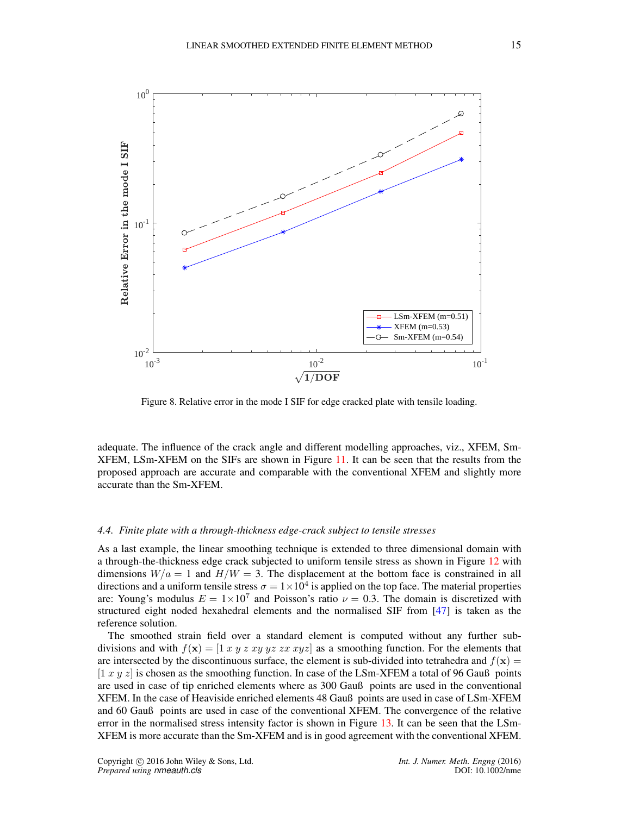<span id="page-14-0"></span>

Figure 8. Relative error in the mode I SIF for edge cracked plate with tensile loading.

adequate. The influence of the crack angle and different modelling approaches, viz., XFEM, Sm-XFEM, LSm-XFEM on the SIFs are shown in Figure [11.](#page-16-2) It can be seen that the results from the proposed approach are accurate and comparable with the conventional XFEM and slightly more accurate than the Sm-XFEM.

### *4.4. Finite plate with a through-thickness edge-crack subject to tensile stresses*

As a last example, the linear smoothing technique is extended to three dimensional domain with a through-the-thickness edge crack subjected to uniform tensile stress as shown in Figure [12](#page-17-0) with dimensions  $W/a = 1$  and  $H/W = 3$ . The displacement at the bottom face is constrained in all directions and a uniform tensile stress  $\sigma = 1 \times 10^4$  is applied on the top face. The material properties are: Young's modulus  $E = 1 \times 10^7$  and Poisson's ratio  $\nu = 0.3$ . The domain is discretized with structured eight noded hexahedral elements and the normalised SIF from [\[47\]](#page-20-0) is taken as the reference solution.

The smoothed strain field over a standard element is computed without any further subdivisions and with  $f(x) = \begin{bmatrix} 1 & x & y & z & xy & yz & zx & xyz \end{bmatrix}$  as a smoothing function. For the elements that are intersected by the discontinuous surface, the element is sub-divided into tetrahedra and  $f(\mathbf{x}) =$  $[1 x y z]$  is chosen as the smoothing function. In case of the LSm-XFEM a total of 96 Gauß points are used in case of tip enriched elements where as 300 Gauß points are used in the conventional XFEM. In the case of Heaviside enriched elements 48 Gauß points are used in case of LSm-XFEM and 60 Gauß points are used in case of the conventional XFEM. The convergence of the relative error in the normalised stress intensity factor is shown in Figure [13.](#page-18-12) It can be seen that the LSm-XFEM is more accurate than the Sm-XFEM and is in good agreement with the conventional XFEM.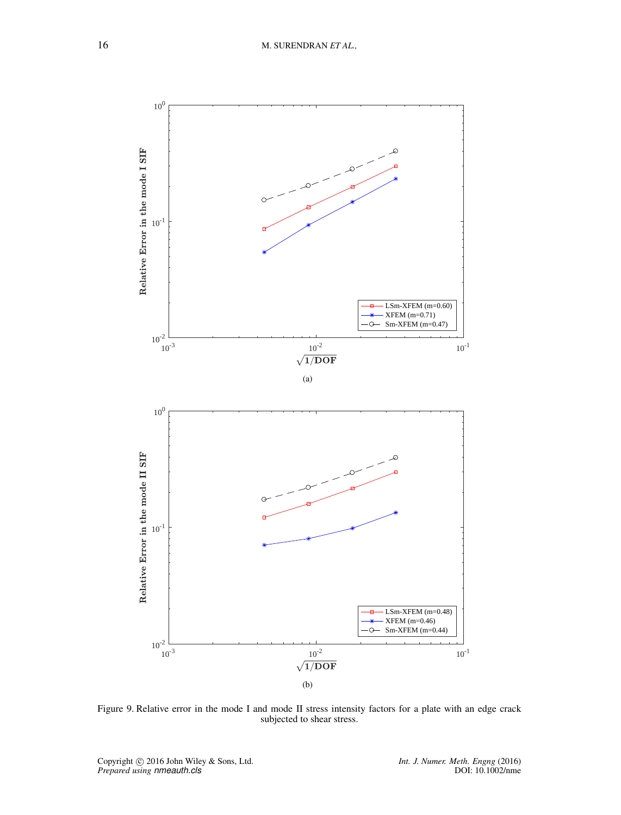<span id="page-15-0"></span>

Figure 9. Relative error in the mode I and mode II stress intensity factors for a plate with an edge crack subjected to shear stress.

*Int. J. Numer. Meth. Engng* (2016)<br>DOI: 10.1002/nme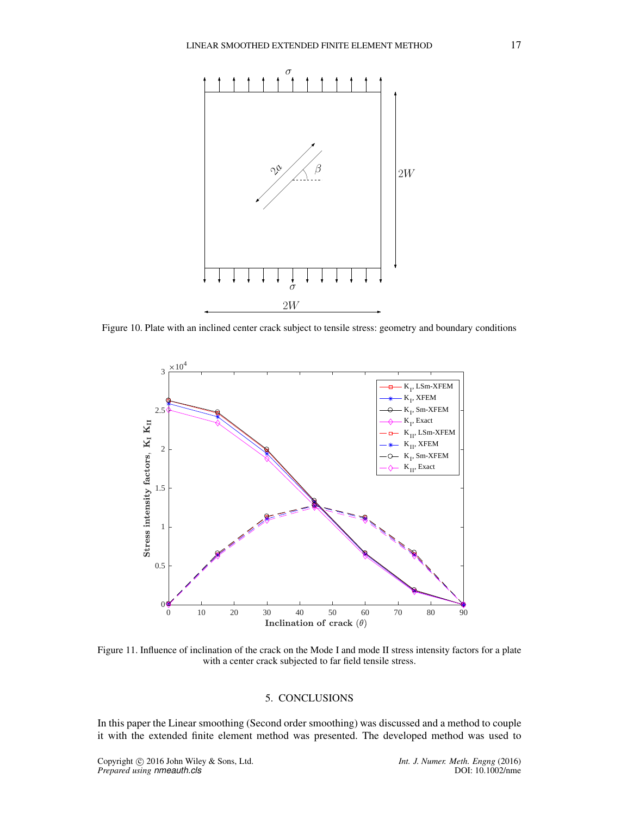<span id="page-16-1"></span>

<span id="page-16-2"></span>Figure 10. Plate with an inclined center crack subject to tensile stress: geometry and boundary conditions



Figure 11. Influence of inclination of the crack on the Mode I and mode II stress intensity factors for a plate with a center crack subjected to far field tensile stress.

### 5. CONCLUSIONS

<span id="page-16-0"></span>In this paper the Linear smoothing (Second order smoothing) was discussed and a method to couple it with the extended finite element method was presented. The developed method was used to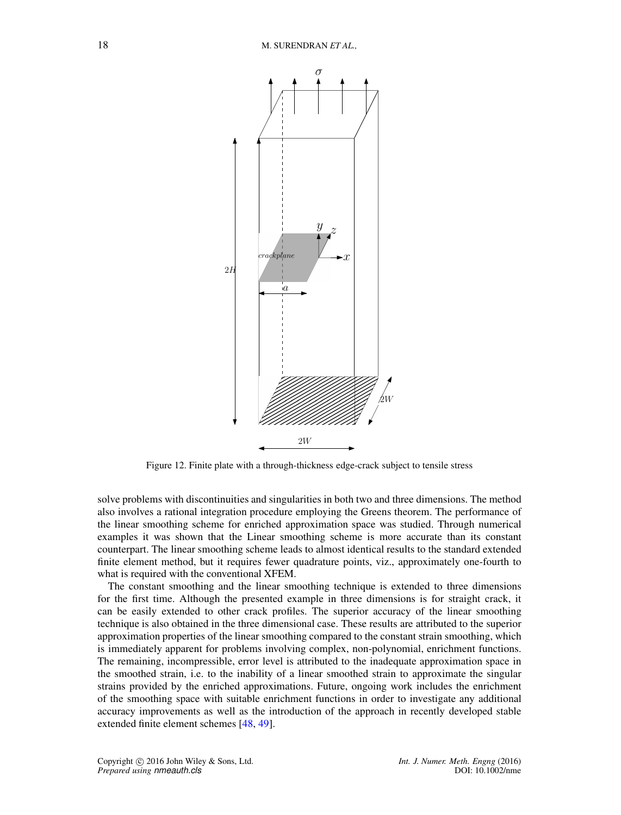<span id="page-17-0"></span>

Figure 12. Finite plate with a through-thickness edge-crack subject to tensile stress

solve problems with discontinuities and singularities in both two and three dimensions. The method also involves a rational integration procedure employing the Greens theorem. The performance of the linear smoothing scheme for enriched approximation space was studied. Through numerical examples it was shown that the Linear smoothing scheme is more accurate than its constant counterpart. The linear smoothing scheme leads to almost identical results to the standard extended finite element method, but it requires fewer quadrature points, viz., approximately one-fourth to what is required with the conventional XFEM.

The constant smoothing and the linear smoothing technique is extended to three dimensions for the first time. Although the presented example in three dimensions is for straight crack, it can be easily extended to other crack profiles. The superior accuracy of the linear smoothing technique is also obtained in the three dimensional case. These results are attributed to the superior approximation properties of the linear smoothing compared to the constant strain smoothing, which is immediately apparent for problems involving complex, non-polynomial, enrichment functions. The remaining, incompressible, error level is attributed to the inadequate approximation space in the smoothed strain, i.e. to the inability of a linear smoothed strain to approximate the singular strains provided by the enriched approximations. Future, ongoing work includes the enrichment of the smoothing space with suitable enrichment functions in order to investigate any additional accuracy improvements as well as the introduction of the approach in recently developed stable extended finite element schemes [\[48,](#page-20-1) [49\]](#page-20-2).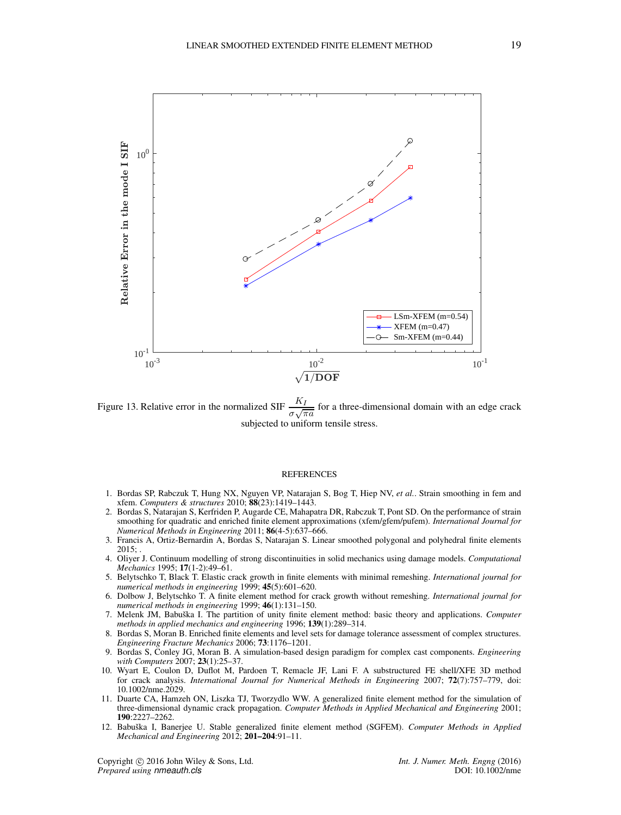<span id="page-18-12"></span>

Figure 13. Relative error in the normalized SIF  $\frac{H}{\sigma\sqrt{\pi a}}$  for a three-dimensional domain with an edge crack subjected to uniform tensile stress.

#### **REFERENCES**

- <span id="page-18-0"></span>1. Bordas SP, Rabczuk T, Hung NX, Nguyen VP, Natarajan S, Bog T, Hiep NV, *et al.*. Strain smoothing in fem and xfem. *Computers & structures* 2010; 88(23):1419–1443.
- <span id="page-18-1"></span>2. Bordas S, Natarajan S, Kerfriden P, Augarde CE, Mahapatra DR, Rabczuk T, Pont SD. On the performance of strain smoothing for quadratic and enriched finite element approximations (xfem/gfem/pufem). *International Journal for Numerical Methods in Engineering* 2011; 86(4-5):637–666.
- <span id="page-18-2"></span>3. Francis A, Ortiz-Bernardin A, Bordas S, Natarajan S. Linear smoothed polygonal and polyhedral finite elements  $2015$ ;
- <span id="page-18-3"></span>4. Oliyer J. Continuum modelling of strong discontinuities in solid mechanics using damage models. *Computational Mechanics* 1995; 17(1-2):49–61.
- <span id="page-18-4"></span>5. Belytschko T, Black T. Elastic crack growth in finite elements with minimal remeshing. *International journal for numerical methods in engineering* 1999; 45(5):601–620.
- <span id="page-18-5"></span>6. Dolbow J, Belytschko T. A finite element method for crack growth without remeshing. *International journal for numerical methods in engineering* 1999; 46(1):131–150.
- <span id="page-18-6"></span>7. Melenk JM, Babuˇska I. The partition of unity finite element method: basic theory and applications. *Computer methods in applied mechanics and engineering* 1996; 139(1):289–314.
- <span id="page-18-7"></span>8. Bordas S, Moran B. Enriched finite elements and level sets for damage tolerance assessment of complex structures. *Engineering Fracture Mechanics* 2006; 73:1176–1201.
- <span id="page-18-8"></span>9. Bordas S, Conley JG, Moran B. A simulation-based design paradigm for complex cast components. *Engineering with Computers* 2007; 23(1):25–37.
- <span id="page-18-9"></span>10. Wyart E, Coulon D, Duflot M, Pardoen T, Remacle JF, Lani F. A substructured FE shell/XFE 3D method for crack analysis. *International Journal for Numerical Methods in Engineering* 2007; 72(7):757–779, doi: 10.1002/nme.2029.
- <span id="page-18-10"></span>11. Duarte CA, Hamzeh ON, Liszka TJ, Tworzydlo WW. A generalized finite element method for the simulation of three-dimensional dynamic crack propagation. *Computer Methods in Applied Mechanical and Engineering* 2001; 190:2227–2262.
- <span id="page-18-11"></span>12. Babuˇska I, Banerjee U. Stable generalized finite element method (SGFEM). *Computer Methods in Applied Mechanical and Engineering* 2012; 201–204:91–11.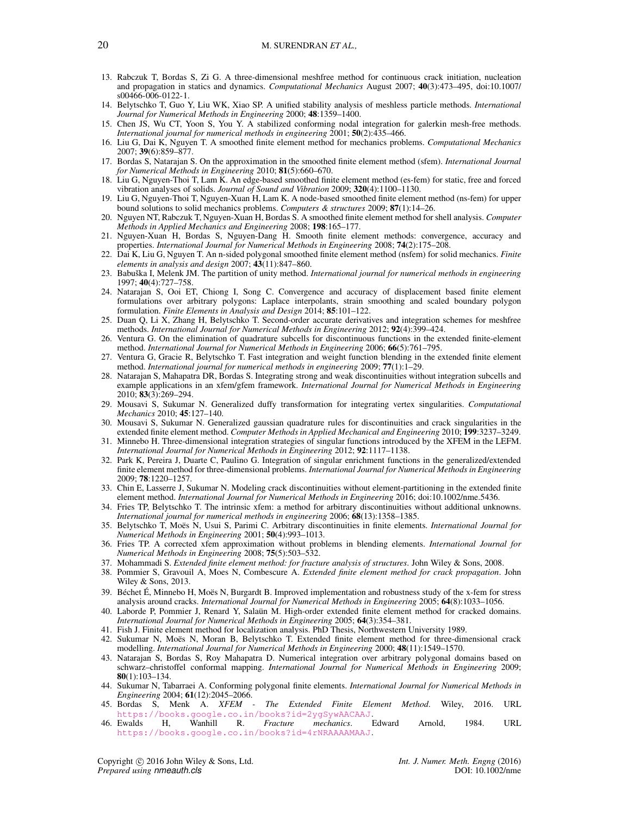#### 20 M. SURENDRAN *ET AL.,*

- <span id="page-19-0"></span>13. Rabczuk T, Bordas S, Zi G. A three-dimensional meshfree method for continuous crack initiation, nucleation and propagation in statics and dynamics. *Computational Mechanics* August 2007; 40(3):473–495, doi:10.1007/ s00466-006-0122-1.
- <span id="page-19-1"></span>14. Belytschko T, Guo Y, Liu WK, Xiao SP. A unified stability analysis of meshless particle methods. *International Journal for Numerical Methods in Engineering* 2000; 48:1359–1400.
- <span id="page-19-2"></span>15. Chen JS, Wu CT, Yoon S, You Y. A stabilized conforming nodal integration for galerkin mesh-free methods. *International journal for numerical methods in engineering* 2001; 50(2):435–466.
- <span id="page-19-3"></span>16. Liu G, Dai K, Nguyen T. A smoothed finite element method for mechanics problems. *Computational Mechanics* 2007; 39(6):859–877.
- <span id="page-19-4"></span>17. Bordas S, Natarajan S. On the approximation in the smoothed finite element method (sfem). *International Journal for Numerical Methods in Engineering* 2010; 81(5):660–670.
- <span id="page-19-5"></span>18. Liu G, Nguyen-Thoi T, Lam K. An edge-based smoothed finite element method (es-fem) for static, free and forced vibration analyses of solids. *Journal of Sound and Vibration* 2009; 320(4):1100–1130.
- <span id="page-19-6"></span>19. Liu G, Nguyen-Thoi T, Nguyen-Xuan H, Lam K. A node-based smoothed finite element method (ns-fem) for upper bound solutions to solid mechanics problems. *Computers & structures* 2009; 87(1):14–26.
- <span id="page-19-7"></span>20. Nguyen NT, Rabczuk T, Nguyen-Xuan H, Bordas S. A smoothed finite element method for shell analysis. *Computer Methods in Applied Mechanics and Engineering* 2008; 198:165–177.
- <span id="page-19-8"></span>21. Nguyen-Xuan H, Bordas S, Nguyen-Dang H. Smooth finite element methods: convergence, accuracy and properties. *International Journal for Numerical Methods in Engineering* 2008; 74(2):175–208.
- <span id="page-19-9"></span>22. Dai K, Liu G, Nguyen T. An n-sided polygonal smoothed finite element method (nsfem) for solid mechanics. *Finite elements in analysis and design* 2007; 43(11):847–860.
- <span id="page-19-10"></span>23. Babuška I, Melenk JM. The partition of unity method. *International journal for numerical methods in engineering* 1997; 40(4):727–758.
- <span id="page-19-11"></span>24. Natarajan S, Ooi ET, Chiong I, Song C. Convergence and accuracy of displacement based finite element formulations over arbitrary polygons: Laplace interpolants, strain smoothing and scaled boundary polygon formulation. *Finite Elements in Analysis and Design* 2014; 85:101–122.
- <span id="page-19-12"></span>25. Duan Q, Li X, Zhang H, Belytschko T. Second-order accurate derivatives and integration schemes for meshfree methods. *International Journal for Numerical Methods in Engineering* 2012; 92(4):399–424.
- <span id="page-19-13"></span>26. Ventura G. On the elimination of quadrature subcells for discontinuous functions in the extended finite-element method. *International Journal for Numerical Methods in Engineering* 2006; 66(5):761–795.
- <span id="page-19-14"></span>27. Ventura G, Gracie R, Belytschko T. Fast integration and weight function blending in the extended finite element method. *International journal for numerical methods in engineering* 2009; 77(1):1–29.
- <span id="page-19-15"></span>28. Natarajan S, Mahapatra DR, Bordas S. Integrating strong and weak discontinuities without integration subcells and example applications in an xfem/gfem framework. *International Journal for Numerical Methods in Engineering* 2010; 83(3):269–294.
- <span id="page-19-16"></span>29. Mousavi S, Sukumar N. Generalized duffy transformation for integrating vertex singularities. *Computational Mechanics* 2010; 45:127–140.
- <span id="page-19-17"></span>30. Mousavi S, Sukumar N. Generalized gaussian quadrature rules for discontinuities and crack singularities in the extended finite element method. *Computer Methods in Applied Mechanical and Engineering* 2010; 199:3237–3249.
- <span id="page-19-18"></span>31. Minnebo H. Three-dimensional integration strategies of singular functions introduced by the XFEM in the LEFM. *International Journal for Numerical Methods in Engineering* 2012; 92:1117–1138.
- <span id="page-19-19"></span>32. Park K, Pereira J, Duarte C, Paulino G. Integration of singular enrichment functions in the generalized/extended finite element method for three-dimensional problems. *International Journal for Numerical Methods in Engineering* 2009; 78:1220–1257.
- <span id="page-19-20"></span>33. Chin E, Lasserre J, Sukumar N. Modeling crack discontinuities without element-partitioning in the extended finite element method. *International Journal for Numerical Methods in Engineering* 2016; doi:10.1002/nme.5436.
- 34. Fries TP, Belytschko T. The intrinsic xfem: a method for arbitrary discontinuities without additional unknowns. *International journal for numerical methods in engineering* 2006; 68(13):1358–1385.
- 35. Belytschko T, Moës N, Usui S, Parimi C. Arbitrary discontinuities in finite elements. *International Journal for Numerical Methods in Engineering* 2001; 50(4):993–1013.
- 36. Fries TP. A corrected xfem approximation without problems in blending elements. *International Journal for Numerical Methods in Engineering* 2008; 75(5):503–532.
- 37. Mohammadi S. *Extended finite element method: for fracture analysis of structures*. John Wiley & Sons, 2008.
- 38. Pommier S, Gravouil A, Moes N, Combescure A. *Extended finite element method for crack propagation*. John Wiley & Sons, 2013.
- 39. Béchet É, Minnebo H, Moës N, Burgardt B. Improved implementation and robustness study of the x-fem for stress analysis around cracks. *International Journal for Numerical Methods in Engineering* 2005; 64(8):1033–1056.
- 40. Laborde P, Pommier J, Renard Y, Salaün M. High-order extended finite element method for cracked domains. *International Journal for Numerical Methods in Engineering* 2005; 64(3):354–381.
- 41. Fish J. Finite element method for localization analysis. PhD Thesis, Northwestern University 1989.
- 42. Sukumar N, Moës N, Moran B, Belytschko T. Extended finite element method for three-dimensional crack modelling. *International Journal for Numerical Methods in Engineering* 2000; 48(11):1549–1570.
- 43. Natarajan S, Bordas S, Roy Mahapatra D. Numerical integration over arbitrary polygonal domains based on schwarz–christoffel conformal mapping. *International Journal for Numerical Methods in Engineering* 2009; 80(1):103–134.
- 44. Sukumar N, Tabarraei A. Conforming polygonal finite elements. *International Journal for Numerical Methods in Engineering* 2004; **61**(12):2045–2066.<br>45. Bordas S, Menk A. *XFEM* -
- The Extended Finite Element Method. Wiley, 2016. URL <https://books.google.co.in/books?id=2ygSywAACAAJ>.<br>**Ewalds H. Wanhill R.** *Fracture mechanics***. Edward**
- <span id="page-19-21"></span>46. Ewalds H, Wanhill R. *Fracture mechanics*. Edward Arnold, 1984. URL <https://books.google.co.in/books?id=4rNRAAAAMAAJ>.